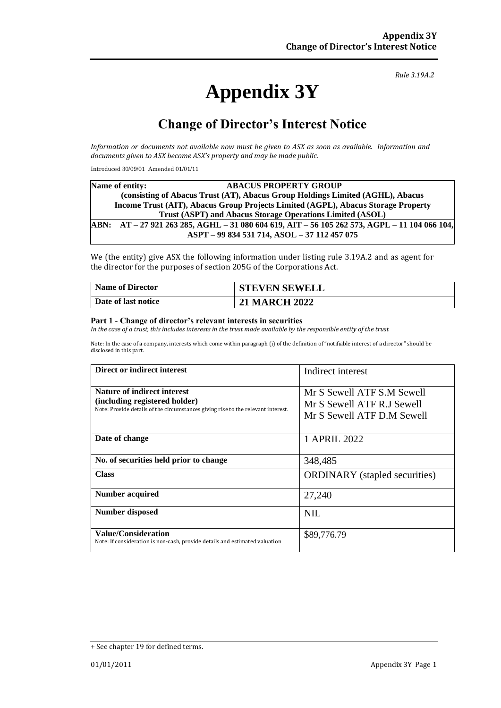# **Appendix 3Y**

*Rule 3.19A.2*

# **Change of Director's Interest Notice**

*Information or documents not available now must be given to ASX as soon as available. Information and documents given to ASX become ASX's property and may be made public.*

Introduced 30/09/01 Amended 01/01/11

|                                                           | Name of entity:                                                                   | <b>ABACUS PROPERTY GROUP</b>                                                          |  |  |  |
|-----------------------------------------------------------|-----------------------------------------------------------------------------------|---------------------------------------------------------------------------------------|--|--|--|
|                                                           | (consisting of Abacus Trust (AT), Abacus Group Holdings Limited (AGHL), Abacus    |                                                                                       |  |  |  |
|                                                           | Income Trust (AIT), Abacus Group Projects Limited (AGPL), Abacus Storage Property |                                                                                       |  |  |  |
| Trust (ASPT) and Abacus Storage Operations Limited (ASOL) |                                                                                   |                                                                                       |  |  |  |
|                                                           |                                                                                   | ABN: AT-27 921 263 285, AGHL-31 080 604 619, AIT-56 105 262 573, AGPL-11 104 066 104, |  |  |  |
|                                                           |                                                                                   | ASPT - 99 834 531 714, ASOL - 37 112 457 075                                          |  |  |  |

We (the entity) give ASX the following information under listing rule 3.19A.2 and as agent for the director for the purposes of section 205G of the Corporations Act.

| <b>Name of Director</b> | <b>STEVEN SEWELL</b> |
|-------------------------|----------------------|
| Date of last notice     | <b>21 MARCH 2022</b> |

#### **Part 1 - Change of director's relevant interests in securities**

*In the case of a trust, this includes interests in the trust made available by the responsible entity of the trust*

Note: In the case of a company, interests which come within paragraph (i) of the definition of "notifiable interest of a director" should be disclosed in this part.

| Direct or indirect interest                                                                                                                             | Indirect interest                                                                      |  |
|---------------------------------------------------------------------------------------------------------------------------------------------------------|----------------------------------------------------------------------------------------|--|
| <b>Nature of indirect interest</b><br>(including registered holder)<br>Note: Provide details of the circumstances giving rise to the relevant interest. | Mr S Sewell ATF S.M Sewell<br>Mr S Sewell ATF R.J Sewell<br>Mr S Sewell ATF D.M Sewell |  |
| Date of change                                                                                                                                          | 1 APRIL 2022                                                                           |  |
| No. of securities held prior to change                                                                                                                  | 348,485                                                                                |  |
| <b>Class</b>                                                                                                                                            | <b>ORDINARY</b> (stapled securities)                                                   |  |
| <b>Number acquired</b>                                                                                                                                  | 27,240                                                                                 |  |
| <b>Number disposed</b>                                                                                                                                  | NIL.                                                                                   |  |
| <b>Value/Consideration</b><br>Note: If consideration is non-cash, provide details and estimated valuation                                               | \$89,776.79                                                                            |  |

<sup>+</sup> See chapter 19 for defined terms.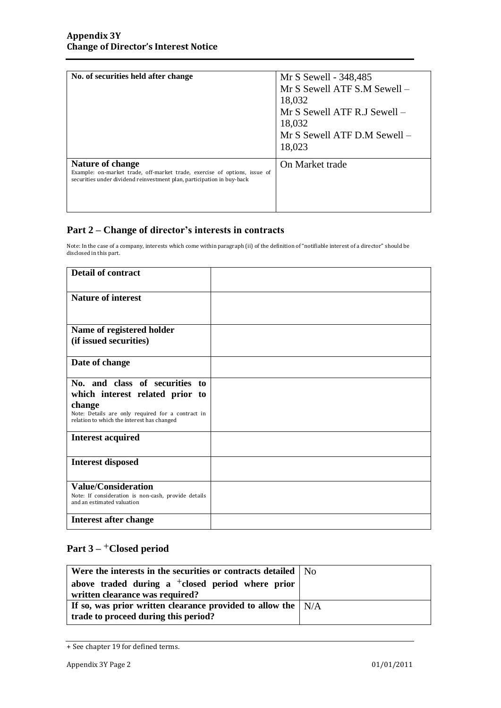| No. of securities held after change                                                                                                                                     | Mr S Sewell - 348,485<br>Mr S Sewell ATF S.M Sewell -<br>18,032<br>Mr S Sewell ATF R.J Sewell -<br>18,032<br>Mr S Sewell ATF D.M Sewell -<br>18,023 |
|-------------------------------------------------------------------------------------------------------------------------------------------------------------------------|-----------------------------------------------------------------------------------------------------------------------------------------------------|
| Nature of change<br>Example: on-market trade, off-market trade, exercise of options, issue of<br>securities under dividend reinvestment plan, participation in buy-back | On Market trade                                                                                                                                     |

### **Part 2 – Change of director's interests in contracts**

Note: In the case of a company, interests which come within paragraph (ii) of the definition of "notifiable interest of a director" should be disclosed in this part.

| <b>Detail of contract</b>                                                                                        |  |
|------------------------------------------------------------------------------------------------------------------|--|
| <b>Nature of interest</b>                                                                                        |  |
| Name of registered holder                                                                                        |  |
| (if issued securities)                                                                                           |  |
| Date of change                                                                                                   |  |
| No. and class of securities to                                                                                   |  |
| which interest related prior to                                                                                  |  |
| change<br>Note: Details are only required for a contract in<br>relation to which the interest has changed        |  |
| <b>Interest acquired</b>                                                                                         |  |
| <b>Interest disposed</b>                                                                                         |  |
| <b>Value/Consideration</b><br>Note: If consideration is non-cash, provide details<br>and an estimated valuation. |  |
| Interest after change                                                                                            |  |

## **Part 3 –** +**Closed period**

| Were the interests in the securities or contracts detailed $\vert$ N <sub>O</sub>                                    |  |
|----------------------------------------------------------------------------------------------------------------------|--|
| above traded during a $\pm$ closed period where prior<br>written clearance was required?                             |  |
| If so, was prior written clearance provided to allow the $\vert N/A \rangle$<br>trade to proceed during this period? |  |

<sup>+</sup> See chapter 19 for defined terms.